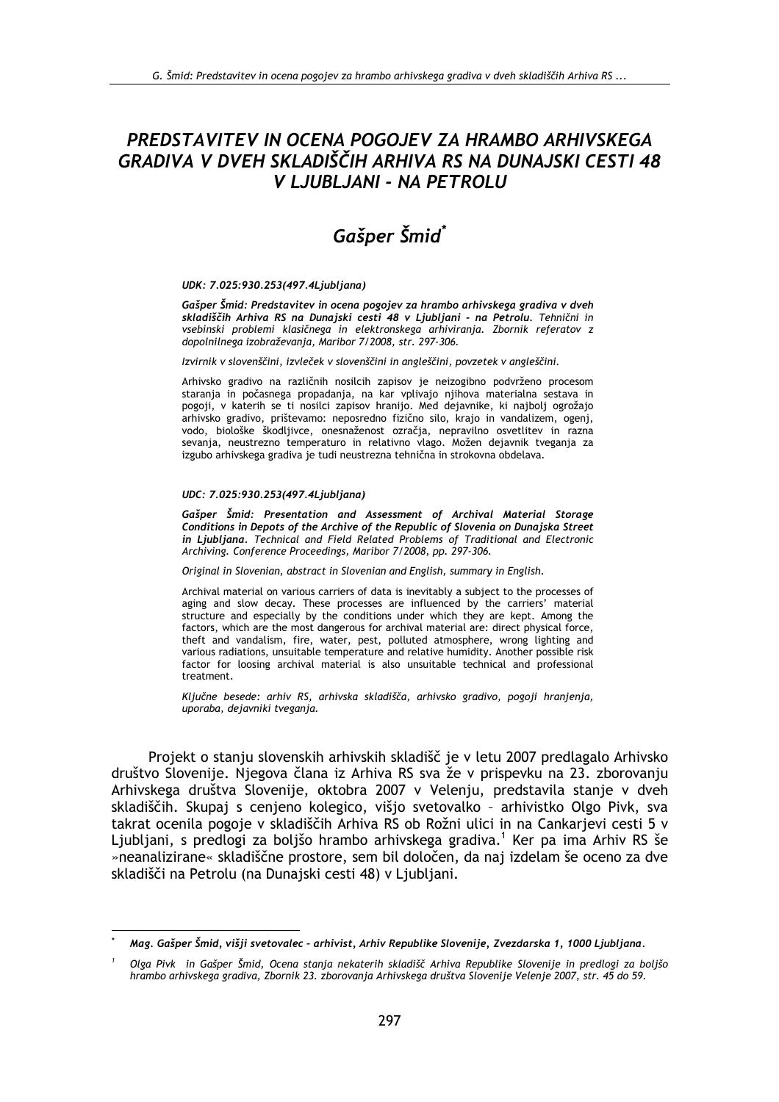# PREDSTAVITEV IN OCENA POGOJEV ZA HRAMBO ARHIVSKEGA GRADIVA V DVEH SKLADIŠČIH ARHIVA RS NA DUNAJSKI CESTI 48 V LJUBLJANI - NA PETROLU

# Gašper Šmid\*

#### UDK: 7.025:930.253(497.4Ljubljana)

Gašper Šmid: Predstavitev in ocena pogojev za hrambo arhivskega gradiva v dveh skladiščih Arhiva RS na Dunajski cesti 48 v Ljubljani - na Petrolu. Tehnični in vsebinski problemi klasičnega in elektronskega arhiviranja. Zbornik referatov z dopolnilnega izobraževanja, Maribor 7/2008, str. 297-306.

Izvirnik v slovenščini, izvleček v slovenščini in angleščini, povzetek v angleščini.

Arhivsko gradivo na različnih nosilcih zapisov je neizogibno podvrženo procesom staranja in počasnega propadanja, na kar vplivajo njihova materialna sestava in pogoji, v katerih se ti nosilci zapisov hranijo. Med dejavnike, ki najbolj ogrožajo arhivsko gradivo, prištevamo: neposredno fizično silo, krajo in vandalizem, ogenj, vodo, biološke škodljivce, onesnaženost ozračja, nepravilno osvetlitev in razna sevanja, neustrezno temperaturo in relativno vlago. Možen dejavnik tveganja za izgubo arhivskega gradiva je tudi neustrezna tehnična in strokovna obdelava.

#### UDC: 7.025:930.253(497.4Ljubljana)

Gašper Šmid: Presentation and Assessment of Archival Material Storage Conditions in Depots of the Archive of the Republic of Slovenia on Dunajska Street in Liubliana. Technical and Field Related Problems of Traditional and Electronic Archiving. Conference Proceedings, Maribor 7/2008, pp. 297-306.

Original in Slovenian, abstract in Slovenian and English, summary in English.

Archival material on various carriers of data is inevitably a subject to the processes of aging and slow decay. These processes are influenced by the carriers' material structure and especially by the conditions under which they are kept. Among the factors, which are the most dangerous for archival material are: direct physical force, theft and vandalism, fire, water, pest, polluted atmosphere, wrong lighting and various radiations, unsuitable temperature and relative humidity. Another possible risk factor for loosing archival material is also unsuitable technical and professional treatment.

Ključne besede: arhiv RS, arhivska skladišča, arhivsko gradivo, pogoji hranjenja, uporaba, dejavniki tveganja.

Projekt o stanju slovenskih arhivskih skladišč je v letu 2007 predlagalo Arhivsko društvo Slovenije. Njegova člana iz Arhiva RS sva že v prispevku na 23. zborovanju Arhivskega društva Slovenije, oktobra 2007 v Velenju, predstavila stanje v dveh skladiščih. Skupaj s cenjeno kolegico, višjo svetovalko - arhivistko Olgo Pivk, sva takrat ocenila pogoje v skladiščih Arhiva RS ob Rožni ulici in na Cankarjevi cesti 5 v Ljubljani, s predlogi za boljšo hrambo arhivskega gradiva.<sup>1</sup> Ker pa ima Arhiv RS še »neanalizirane« skladiščne prostore, sem bil določen, da naj izdelam še oceno za dve skladišči na Petrolu (na Dunajski cesti 48) v Ljubljani.

Mag. Gašper Šmid, višji svetovalec - arhivist, Arhiv Republike Slovenije, Zvezdarska 1, 1000 Ljubljana.

Olga Pivk in Gašper Šmid, Ocena stanja nekaterih skladišč Arhiva Republike Slovenije in predlogi za boljšo hrambo arhivskega gradiva, Zbornik 23. zborovanja Arhivskega društva Slovenije Velenje 2007, str. 45 do 59.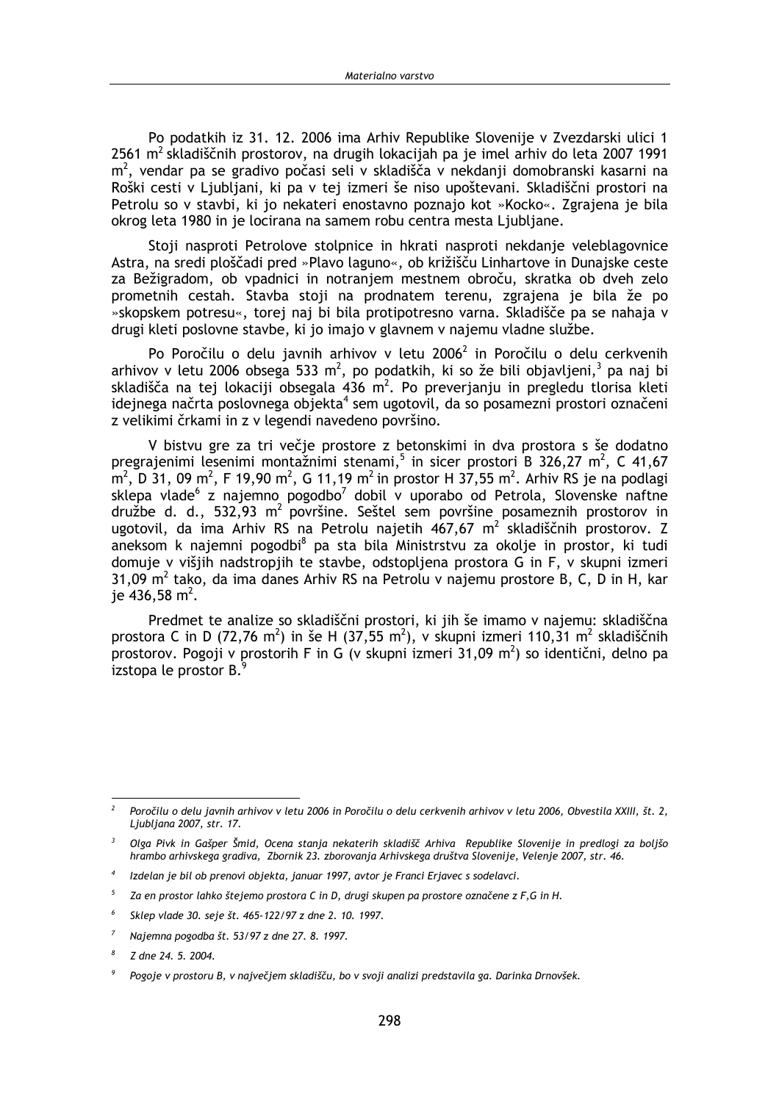Po podatkih iz 31, 12, 2006 ima Arhiv Republike Slovenije v Zvezdarski ulici 1 2561 m<sup>2</sup> skladiščnih prostorov, na drugih lokacijah pa je imel arhiv do leta 2007 1991 m<sup>2</sup>, vendar pa se gradivo počasi seli v skladišča v nekdanij domobranski kasarni na Roški cesti v Ljubljani, ki pa v tej izmeri še niso upoštevani. Skladiščni prostori na Petrolu so v stavbi, ki jo nekateri enostavno poznajo kot »Kocko«. Zgrajena je bila okrog leta 1980 in je locirana na samem robu centra mesta Ljubljane.

Stoji nasproti Petrolove stolpnice in hkrati nasproti nekdanje veleblagovnice Astra, na sredi ploščadi pred »Plavo laguno«, ob križišču Linhartove in Dunajske ceste za Bežigradom, ob vpadnici in notranjem mestnem obroču, skratka ob dveh zelo prometnih cestah. Stavba stoji na prodnatem terenu, zgrajena je bila že po »skopskem potresu«, torej naj bi bila protipotresno varna. Skladišče pa se nahaja v drugi kleti poslovne stavbe, ki jo imajo v glavnem v najemu vladne službe.

Po Poročilu o delu javnih arhivov v letu 2006<sup>2</sup> in Poročilu o delu cerkvenih arhivov v letu 2006 obsega 533 m<sup>2</sup>, po podatkih, ki so že bili objavljeni,<sup>3</sup> pa naj bi skladišča na tej lokaciji obsegala 436 m<sup>2</sup>. Po preverjanju in pregledu tlorisa kleti idejnega načrta poslovnega objekta<sup>4</sup> sem ugotovil, da so posamezni prostori označeni z velikimi črkami in z v legendi navedeno površino.

V bistvu gre za tri večje prostore z betonskimi in dva prostora s še dodatno pregrajenimi lesenimi montažnimi stenami,<sup>5</sup> in sicer prostori B 326,27 m<sup>2</sup>, C 41,67  $m^2$ , D 31, 09 m<sup>2</sup>, F 19,90 m<sup>2</sup>, G 11,19 m<sup>2</sup> in prostor H 37,55 m<sup>2</sup>. Arhiv RS je na podlagi sklepa vlade<sup>6</sup> z najemno pogodbo<sup>7</sup> dobil v uporabo od Petrola, Slovenske naftne družbe d. d., 532,93 m<sup>2</sup> površine. Seštel sem površine posameznih prostorov in ugotovil, da ima Arhiv RS na Petrolu najetih 467,67 m<sup>2</sup> skladiščnih prostorov. Z aneksom k najemni pogodbi<sup>8</sup> pa sta bila Ministrstvu za okolje in prostor, ki tudi domuje v višjih nadstropjih te stavbe, odstopljena prostora G in F, v skupni izmeri 31,09  $m^2$  tako, da ima danes Arhiv RS na Petrolu v najemu prostore B, C, D in H, kar ie 436.58 m<sup>2</sup>.

Predmet te analize so skladiščni prostori, ki jih še imamo v najemu: skladiščna prostora C in D (72,76 m<sup>2</sup>) in še H (37,55 m<sup>2</sup>), v skupni izmeri 110,31 m<sup>2</sup> skladiščnih prostorov. Pogoji v prostorih F in G (v skupni izmeri 31,09 m<sup>2</sup>) so identični, delno pa izstopa le prostor B.

Poročilu o delu javnih arhivov v letu 2006 in Poročilu o delu cerkvenih arhivov v letu 2006, Obvestila XXIII, št. 2, Liubliana 2007, str. 17.

Olga Pivk in Gašper Šmid, Ocena stanja nekaterih skladišč Arhiva Republike Slovenije in predlogi za boljšo hrambo arhivskega gradiva, Zbornik 23. zborovanja Arhivskega društva Slovenije, Velenje 2007, str. 46.

Izdelan je bil ob prenovi objekta, januar 1997, avtor je Franci Erjavec s sodelavci.

Za en prostor lahko štejemo prostora C in D, drugi skupen pa prostore označene z F,G in H.

<sup>6</sup> Sklep vlade 30. seje št. 465-122/97 z dne 2. 10. 1997.

Najemna pogodba št. 53/97 z dne 27. 8. 1997.

 $\overline{g}$ Z dne 24, 5, 2004.

Pogoje v prostoru B, v največjem skladišču, bo v svoji analizi predstavila ga. Darinka Drnovšek.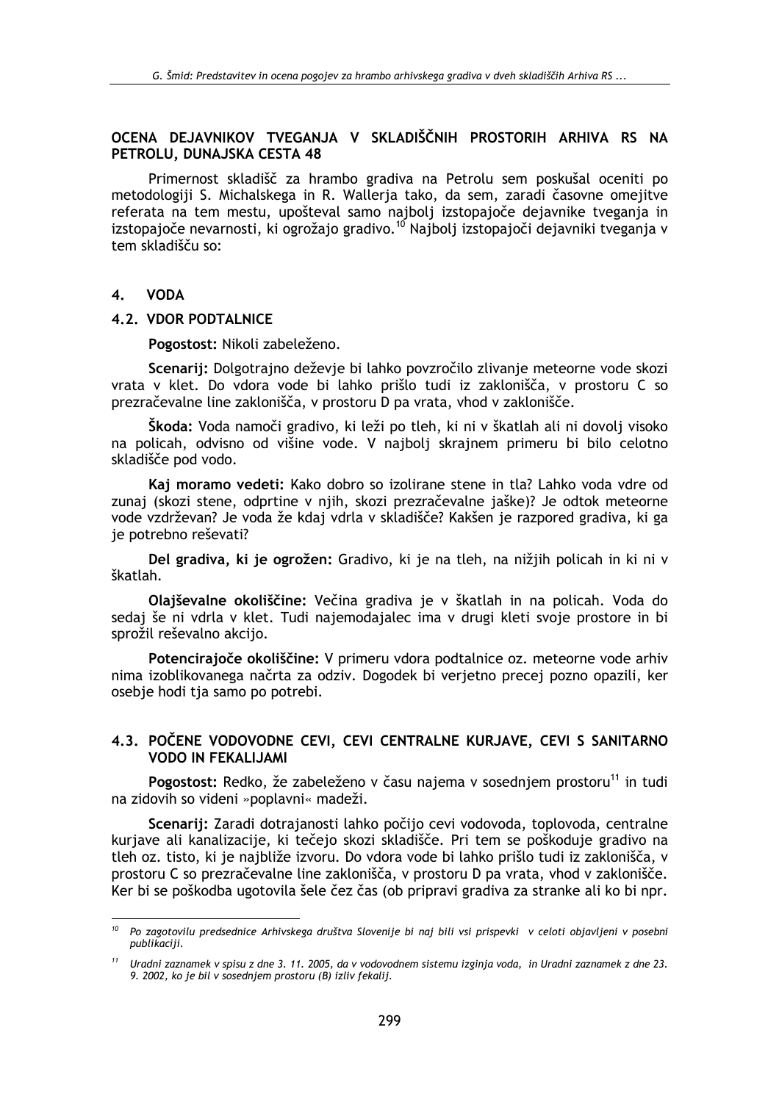# OCENA DEJAVNIKOV TVEGANJA V SKLADIŠČNIH PROSTORIH ARHIVA RS NA PETROLU, DUNAJSKA CESTA 48

Primernost skladišč za hrambo gradiva na Petrolu sem poskušal oceniti po metodologiji S. Michalskega in R. Walleria tako, da sem, zaradi časovne omejitve referata na tem mestu, upošteval samo najbolj izstopajoče dejavnike tveganja in izstopajoče nevarnosti, ki ogrožajo gradivo.<sup>10</sup> Najbolj izstopajoči dejavniki tveganja v tem skladišču so:

#### $\overline{\mathbf{4}}$ . **VODA**

#### 4.2. VDOR PODTALNICE

Pogostost: Nikoli zabeleženo.

Scenarii: Dolgotrajno deževie bi lahko povzročilo zlivanje meteorne vode skozi vrata v klet. Do vdora vode bi lahko prišlo tudi iz zaklonišča, v prostoru C so prezračevalne line zaklonišča, v prostoru D pa vrata, vhod v zaklonišče.

Škoda: Voda namoči gradivo, ki leži po tleh, ki ni v škatlah ali ni dovolj visoko na policah, odvisno od višine vode. V najbolj skrajnem primeru bi bilo celotno skladišče pod vodo.

Kaj moramo vedeti: Kako dobro so izolirane stene in tla? Lahko voda vdre od zunaj (skozi stene, odprtine v njih, skozi prezračevalne jaške)? Je odtok meteorne vode vzdrževan? Je voda že kdaj vdrla v skladišče? Kakšen je razpored gradiva, ki ga je potrebno reševati?

Del gradiva, ki je ogrožen: Gradivo, ki je na tleh, na nižjih policah in ki ni v škatlah.

Olajševalne okoliščine: Večina gradiva je v škatlah in na policah. Voda do sedaj še ni vdrla v klet. Tudi najemodajalec ima v drugi kleti svoje prostore in bi sprožil reševalno akcijo.

Potencirajoče okoliščine: V primeru vdora podtalnice oz. meteorne vode arhiv nima izoblikovanega načrta za odziv. Dogodek bi verietno precej pozno opazili, ker osebje hodi tja samo po potrebi.

## 4.3. POČENE VODOVODNE CEVI. CEVI CENTRALNE KURJAVE, CEVI S SANITARNO **VODO IN FEKALIJAMI**

Pogostost: Redko, že zabeleženo v času najema v sosedniem prostoru<sup>11</sup> in tudi na zidovih so videni »poplavni« madeži.

Scenarij: Zaradi dotrajanosti lahko počijo cevi vodovoda, toplovoda, centralne kurjave ali kanalizacije, ki tečejo skozi skladišče. Pri tem se poškoduje gradivo na tleh oz. tisto, ki je najbliže izvoru. Do vdora vode bi lahko prišlo tudi iz zaklonišča, v prostoru C so prezračevalne line zaklonišča, v prostoru D pa vrata, vhod v zaklonišče. Ker bi se poškodba ugotovila šele čez čas (ob pripravi gradiva za stranke ali ko bi npr.

<sup>&</sup>lt;sup>10</sup> Po zagotovilu predsednice Arhivskega društva Slovenije bi naj bili vsi prispevki v celoti objavljeni v posebni publikaciji.

<sup>&</sup>lt;sup>11</sup> Uradni zaznamek v spisu z dne 3. 11. 2005, da v vodovodnem sistemu izginja voda, in Uradni zaznamek z dne 23. 9. 2002, ko je bil v sosednjem prostoru (B) izliv fekalij.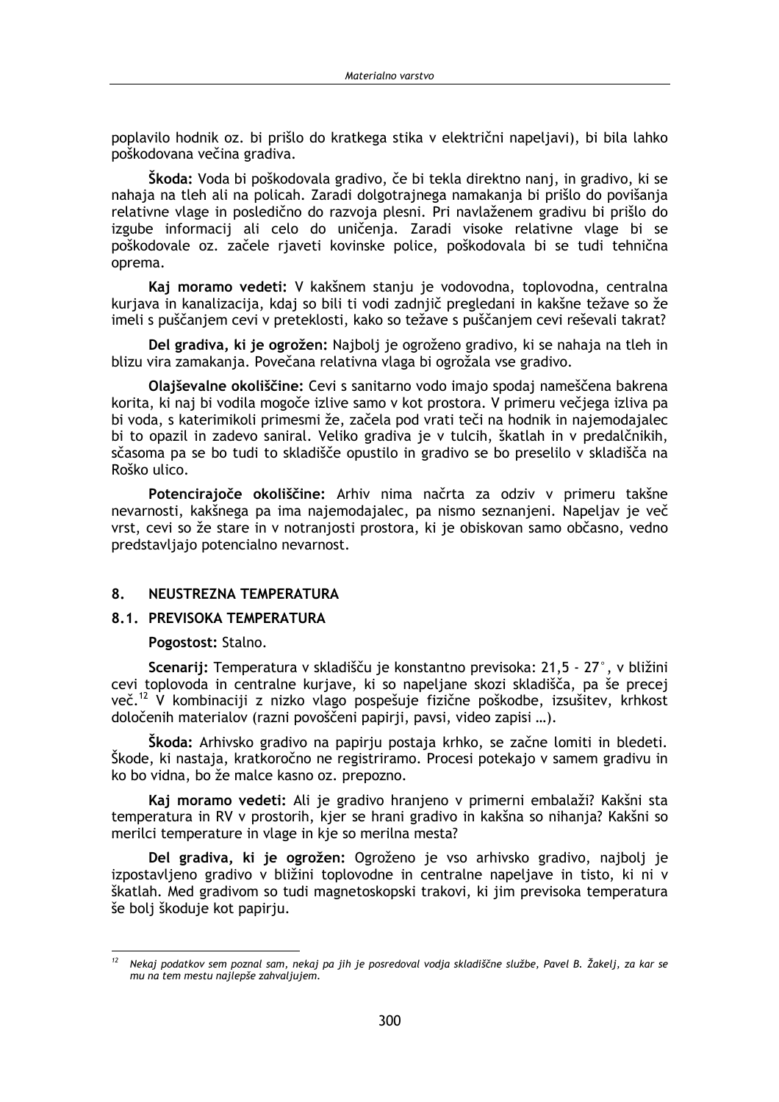poplavilo hodnik oz. bi prišlo do kratkega stika v električni napeljavi), bi bila lahko poškodovana večina gradiva.

Škoda: Voda bi poškodovala gradivo, če bi tekla direktno nanj, in gradivo, ki se nahaja na tleh ali na policah. Zaradi dolgotrajnega namakanja bi prišlo do povišanja relativne vlage in posledično do razvoja plesni. Pri navlaženem gradivu bi prišlo do izgube informacij ali celo do uničenja. Zaradi visoke relativne vlage bi se poškodovale oz. začele rjaveti kovinske police, poškodovala bi se tudi tehnična oprema.

Kaj moramo vedeti: V kakšnem stanju je vodovodna, toplovodna, centralna kurjava in kanalizacija, kdaj so bili ti vodi zadnjič pregledani in kakšne težave so že imeli s puščanjem cevi v preteklosti, kako so težave s puščanjem cevi reševali takrat?

Del gradiva, ki je ogrožen: Najbolj je ogroženo gradivo, ki se nahaja na tleh in blizu vira zamakanja. Povečana relativna vlaga bi ogrožala vse gradivo.

Olajševalne okoliščine: Cevi s sanitarno vodo imajo spodaj nameščena bakrena korita, ki naj bi vodila mogoče izlive samo v kot prostora. V primeru večjega izliva pa bi voda, s katerimikoli primesmi že, začela pod vrati teči na hodnik in najemodajalec bi to opazil in zadevo saniral. Veliko gradiva je v tulcih, škatlah in v predalčnikih, sčasoma pa se bo tudi to skladišče opustilo in gradivo se bo preselilo v skladišča na Roško ulico.

Potencirajoče okoliščine: Arhiv nima načrta za odziv v primeru takšne nevarnosti, kakšnega pa ima najemodajalec, pa nismo seznanjeni. Napeljav je več vrst, cevi so že stare in v notranjosti prostora, ki je obiskovan samo občasno, vedno predstavliajo potencialno nevarnost.

#### 8. NEUSTREZNA TEMPERATURA

#### 8.1. PREVISOKA TEMPERATURA

Pogostost: Stalno.

Scenarii: Temperatura v skladišču je konstantno previsoka: 21.5 - 27°, v bližini cevi toplovoda in centralne kuriave, ki so napeljane skozi skladišča, pa še precej več.<sup>12</sup> V kombinaciji z nizko vlago pospešuje fizične poškodbe, izsušitev, krhkost določenih materialov (razni povoščeni papirji, pavsi, video zapisi ...).

Škoda: Arhivsko gradivo na papirju postaja krhko, se začne lomiti in bledeti. Škode, ki nastaja, kratkoročno ne registriramo. Procesi potekajo v samem gradivu in ko bo vidna, bo že malce kasno oz. prepozno.

Kaj moramo vedeti: Ali je gradivo hranjeno v primerni embalaži? Kakšni sta temperatura in RV v prostorih, kjer se hrani gradivo in kakšna so nihanja? Kakšni so merilci temperature in vlage in kje so merilna mesta?

Del gradiva, ki je ogrožen: Ogroženo je vso arhivsko gradivo, najbolj je izpostavljeno gradivo v bližini toplovodne in centralne napeljave in tisto, ki ni v škatlah. Med gradivom so tudi magnetoskopski trakovi, ki jim previsoka temperatura še bolj škoduje kot papirju.

Nekaj podatkov sem poznal sam, nekaj pa jih je posredoval vodja skladiščne službe, Pavel B. Žakelj, za kar se mu na tem mestu najlepše zahvaljujem.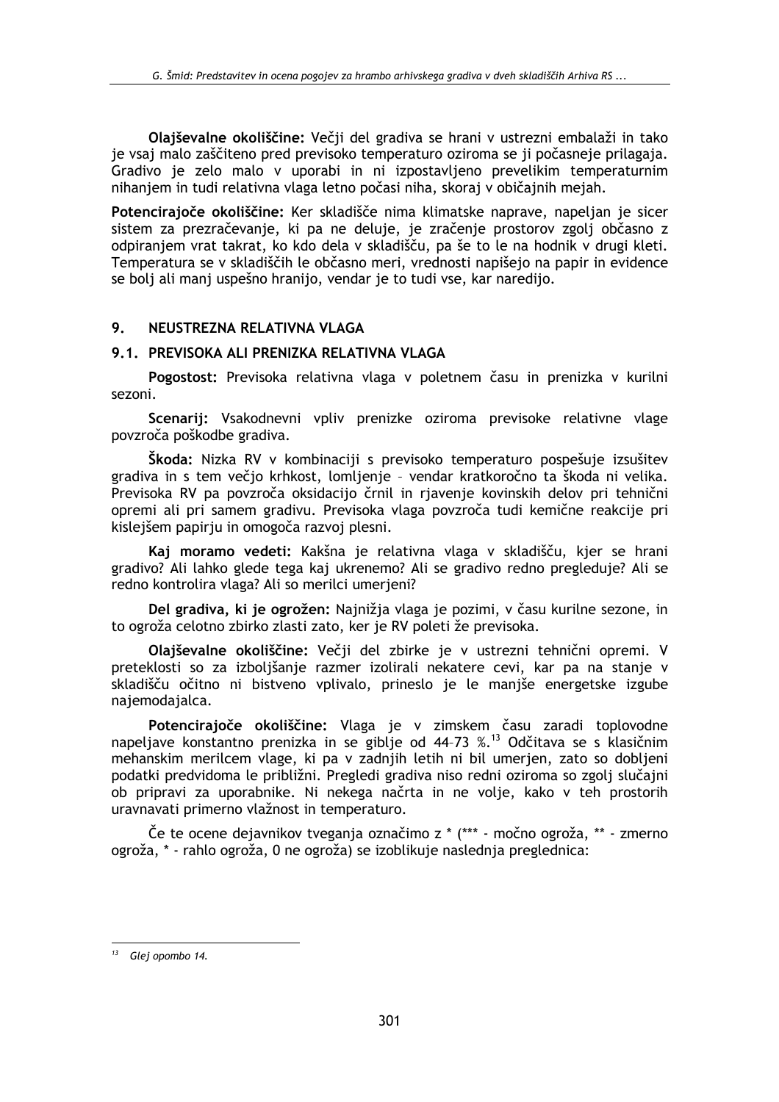Olajševalne okoliščine: Večij del gradiva se hrani v ustrezni embalaži in tako je vsaj malo zaščiteno pred previsoko temperaturo oziroma se ji počasneje prilagaja. Gradivo je zelo malo v uporabi in ni izpostavljeno prevelikim temperaturnim nihanjem in tudi relativna vlaga letno počasi niha, skoraj v običajnih mejah.

Potencirajoče okoliščine: Ker skladišče nima klimatske naprave, napeljan je sicer sistem za prezračevanje, ki pa ne deluje, je zračenje prostorov zgolj občasno z odpiranjem vrat takrat, ko kdo dela v skladišču, pa še to le na hodnik v drugi kleti. Temperatura se v skladiščih le občasno meri, vrednosti napišejo na papir in evidence se bolj ali manj uspešno hranijo, vendar je to tudi vse, kar naredijo.

#### 9. NEUSTREZNA RELATIVNA VLAGA

## 9.1. PREVISOKA ALI PRENIZKA RELATIVNA VLAGA

Pogostost: Previsoka relativna vlaga v poletnem času in prenizka v kurilni sezoni.

Scenarij: Vsakodnevni vpliv prenizke oziroma previsoke relativne vlage povzroča poškodbe gradiva.

Škoda: Nizka RV v kombinaciji s previsoko temperaturo pospešuje izsušitev gradiva in s tem večjo krhkost, lomljenje - vendar kratkoročno ta škoda ni velika. Previsoka RV pa povzroča oksidacijo črnil in rjavenje kovinskih delov pri tehnični opremi ali pri samem gradivu. Previsoka vlaga povzroča tudi kemične reakcije pri kislejšem papirju in omogoča razvoj plesni.

Kaj moramo vedeti: Kakšna je relativna vlaga v skladišču, kjer se hrani gradivo? Ali lahko glede tega kaj ukrenemo? Ali se gradivo redno pregleduje? Ali se redno kontrolira vlaga? Ali so merilci umerieni?

Del gradiva, ki je ogrožen: Najnižja vlaga je pozimi, v času kurilne sezone, in to ogroža celotno zbirko zlasti zato, ker je RV poleti že previsoka.

Olaiševalne okoliščine: Večji del zbirke je v ustrezni tehnični opremi. V preteklosti so za izbolišanie razmer izolirali nekatere cevi, kar pa na stanie v skladišču očitno ni bistveno vplivalo, prineslo je le maniše energetske izgube naiemodaialca.

Potencirajoče okoliščine: Vlaga je v zimskem času zaradi toplovodne napeljave konstantno prenizka in se giblje od 44-73 %.<sup>13</sup> Odčitava se s klasičnim mehanskim merilcem vlage, ki pa v zadnjih letih ni bil umerjen, zato so dobljeni podatki predvidoma le približni. Pregledi gradiva niso redni oziroma so zgolj slučajni ob pripravi za uporabnike. Ni nekega načrta in ne volje, kako v teh prostorih uravnavati primerno vlažnost in temperaturo.

Če te ocene dejavnikov tveganja označimo z \* (\*\*\* - močno ogroža, \*\* - zmerno ogroža, \* - rahlo ogroža, 0 ne ogroža) se izoblikuje naslednja preglednica:

 $13$  Glej opombo 14.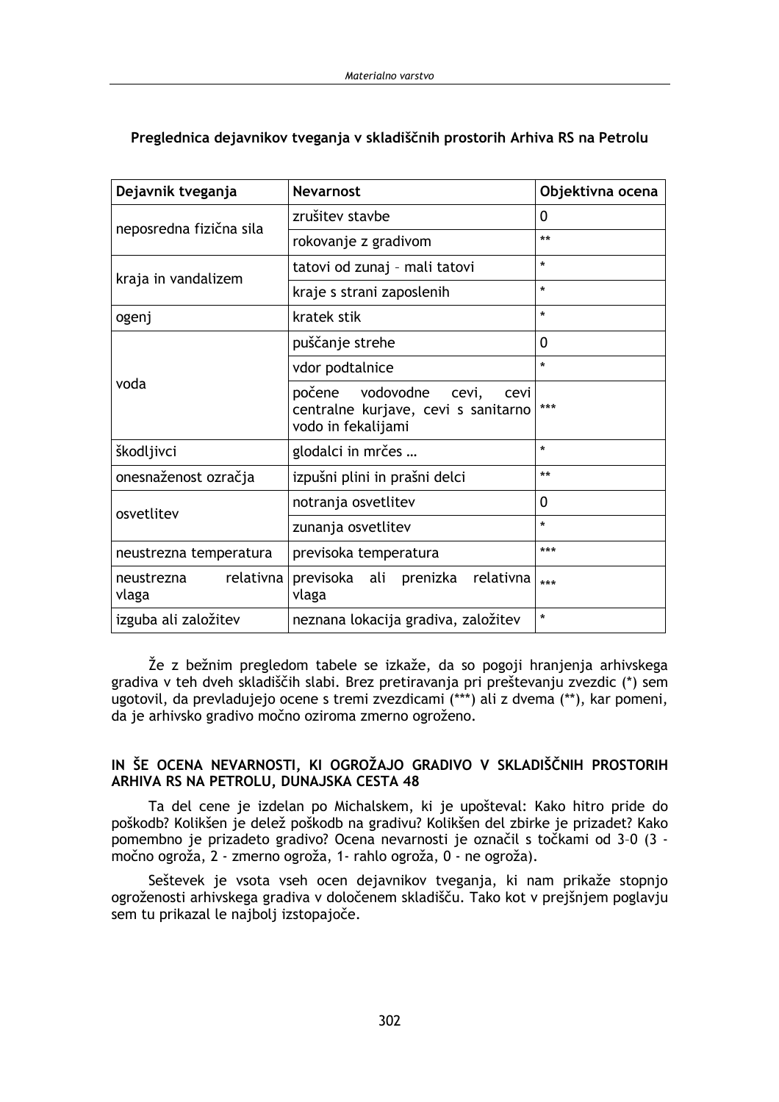| Dejavnik tveganja                | <b>Nevarnost</b>                                                                               | Objektivna ocena |  |
|----------------------------------|------------------------------------------------------------------------------------------------|------------------|--|
|                                  | zrušitev stavbe                                                                                | 0                |  |
| neposredna fizična sila          | rokovanje z gradivom                                                                           | $**$             |  |
|                                  | tatovi od zunaj - mali tatovi                                                                  | $\star$          |  |
| kraja in vandalizem              | kraje s strani zaposlenih                                                                      | $\star$          |  |
| ogenj                            | kratek stik                                                                                    | $\star$          |  |
|                                  | puščanje strehe                                                                                | 0                |  |
|                                  | vdor podtalnice                                                                                | $\star$          |  |
| voda                             | počene vodovodne<br>cevi,<br>cevi<br>centralne kurjave, cevi s sanitarno<br>vodo in fekalijami | ***              |  |
| škodljivci                       | glodalci in mrčes                                                                              | $\star$          |  |
| onesnaženost ozračja             | izpušni plini in prašni delci                                                                  | **               |  |
| osvetlitev                       | notranja osvetlitev                                                                            | 0                |  |
|                                  | zunanja osvetlitev                                                                             | $\star$          |  |
| neustrezna temperatura           | previsoka temperatura                                                                          | ***              |  |
| relativna<br>neustrezna<br>vlaga | previsoka ali prenizka relativna<br>vlaga                                                      | ***              |  |
| izguba ali založitev             | neznana lokacija gradiva, založitev                                                            | $\star$          |  |

# Preglednica dejavnikov tveganja v skladiščnih prostorih Arhiva RS na Petrolu

Že z bežnim pregledom tabele se izkaže, da so pogoji hranjenja arhivskega gradiva v teh dveh skladiščih slabi. Brez pretiravanja pri preštevanju zvezdic (\*) sem ugotovil, da prevladujejo ocene s tremi zvezdicami (\*\*\*) ali z dvema (\*\*), kar pomeni, da je arhivsko gradivo močno oziroma zmerno ogroženo.

## IN ŠE OCENA NEVARNOSTI, KI OGROŽAJO GRADIVO V SKLADIŠČNIH PROSTORIH ARHIVA RS NA PETROLU, DUNAJSKA CESTA 48

Ta del cene je izdelan po Michalskem, ki je upošteval: Kako hitro pride do poškodb? Kolikšen je delež poškodb na gradivu? Kolikšen del zbirke je prizadet? Kako pomembno je prizadeto gradivo? Ocena nevarnosti je označil s točkami od 3-0 (3 močno ogroža, 2 - zmerno ogroža, 1- rahlo ogroža, 0 - ne ogroža).

Seštevek je vsota vseh ocen dejavnikov tveganja, ki nam prikaže stopnjo ogroženosti arhivskega gradiva v določenem skladišču. Tako kot v prejšnjem poglavju sem tu prikazal le najbolj izstopajoče.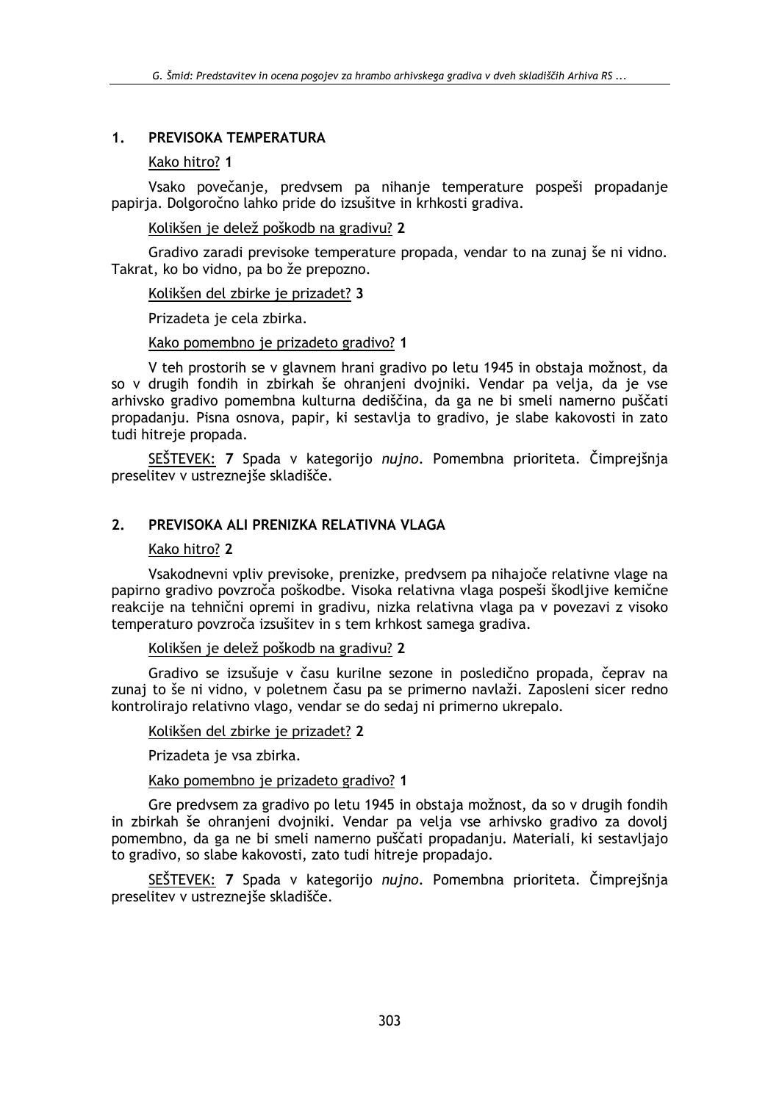#### PREVISOKA TEMPERATURA  $1<sup>1</sup>$

## Kako hitro? 1

Vsako povečanje, predvsem pa nihanje temperature pospeši propadanje papiria. Dolgoročno lahko pride do izsušitve in krhkosti gradiva.

Kolikšen je delež poškodb na gradivu? 2

Gradivo zaradi previsoke temperature propada, vendar to na zunaj še ni vidno. Takrat, ko bo vidno, pa bo že prepozno.

#### Kolikšen del zbirke je prizadet? 3

Prizadeta je cela zbirka.

#### Kako pomembno je prizadeto gradivo? 1

V teh prostorih se v glavnem hrani gradivo po letu 1945 in obstaja možnost, da so v drugih fondih in zbirkah še ohranjeni dvojniki. Vendar pa velja, da je vse arhivsko gradivo pomembna kulturna dediščina, da ga ne bi smeli namerno puščati propadanju. Pisna osnova, papir, ki sestavlja to gradivo, je slabe kakovosti in zato tudi hitreje propada.

SEŠTEVEK: 7 Spada v kategorijo nujno. Pomembna prioriteta. Čimprejšnja preselitev v ustreznejše skladišče.

#### $2<sup>2</sup>$ PREVISOKA ALI PRENIZKA RELATIVNA VLAGA

#### Kako hitro? 2

Vsakodnevni vpliv previsoke, prenizke, predvsem pa nihajoče relativne vlage na papirno gradivo povzroča poškodbe. Visoka relativna vlaga pospeši škodljive kemične reakcije na tehnični opremi in gradivu, nizka relativna vlaga pa v povezavi z visoko temperaturo povzroča izsušitev in s tem krhkost samega gradiva.

#### Kolikšen je delež poškodb na gradivu? 2

Gradivo se izsušuje v času kurilne sezone in posledično propada, čeprav na zunaj to še ni vidno, v poletnem času pa se primerno navlaži. Zaposleni sicer redno kontrolirajo relativno vlago, vendar se do sedaj ni primerno ukrepalo.

#### Kolikšen del zbirke je prizadet? 2

Prizadeta je vsa zbirka.

## Kako pomembno je prizadeto gradivo? 1

Gre predvsem za gradivo po letu 1945 in obstaja možnost, da so v drugih fondih in zbirkah še ohranjeni dvojniki. Vendar pa velja vse arhivsko gradivo za dovolj pomembno, da ga ne bi smeli namerno puščati propadanju. Materiali, ki sestavljajo to gradivo, so slabe kakovosti, zato tudi hitreje propadajo.

SEŠTEVEK: 7 Spada v kategorijo nujno. Pomembna prioriteta. Čimprejšnja preselitev v ustreznejše skladišče.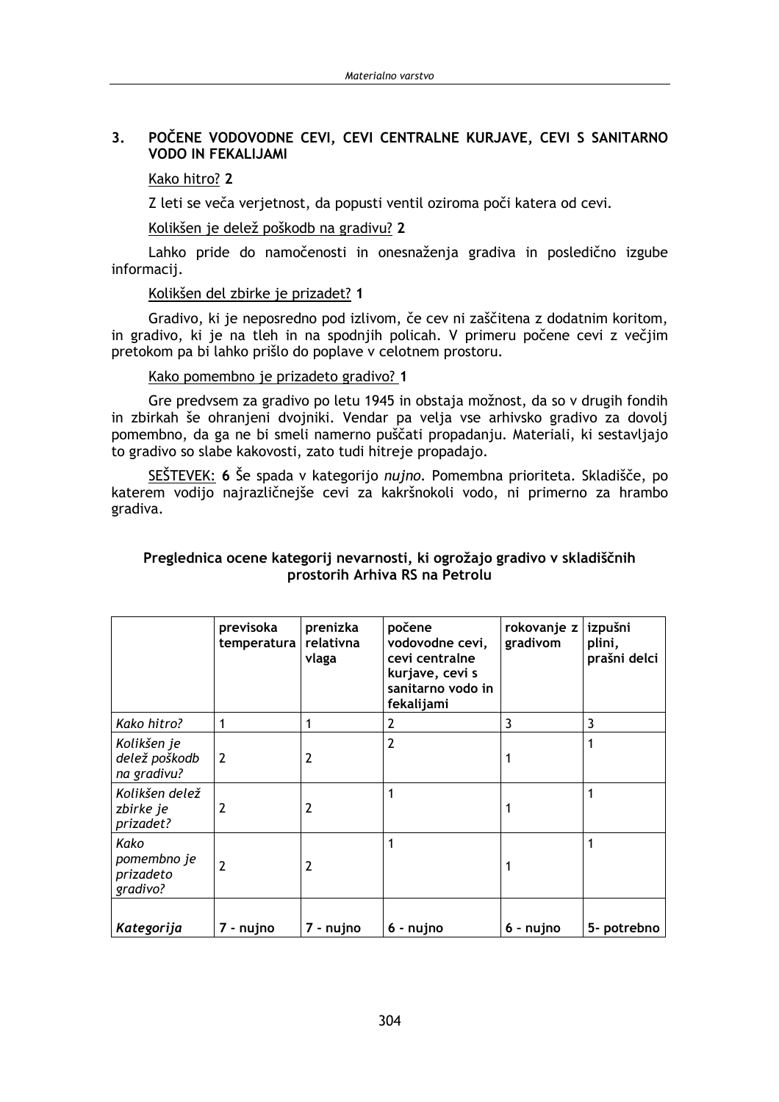#### $3.$ POČENE VODOVODNE CEVI. CEVI CENTRALNE KURJAVE. CEVI S SANITARNO **VODO IN FEKALIJAMI**

#### Kako hitro? 2

Z leti se veča verjetnost, da popusti ventil oziroma poči katera od cevi.

Kolikšen je delež poškodb na gradivu? 2

Lahko pride do namočenosti in onesnaženja gradiva in posledično izgube informacij.

#### Kolikšen del zbirke je prizadet? 1

Gradivo, ki je neposredno pod izlivom, če cev ni zaščitena z dodatnim koritom, in gradivo, ki je na tleh in na spodnjih policah. V primeru počene cevi z večjim pretokom pa bi lahko prišlo do poplave v celotnem prostoru.

Kako pomembno je prizadeto gradivo? 1

Gre predvsem za gradivo po letu 1945 in obstaja možnost, da so v drugih fondih in zbirkah še ohranjeni dvojniki. Vendar pa velja vse arhivsko gradivo za dovolj pomembno, da ga ne bi smeli namerno puščati propadanju. Materiali, ki sestavljajo to gradivo so slabe kakovosti, zato tudi hitreje propadajo.

SEŠTEVEK: 6 Še spada v kategorijo nujno. Pomembna prioriteta. Skladišče, po katerem vodijo najrazličnejše cevi za kakršnokoli vodo, ni primerno za hrambo gradiva.

## Preglednica ocene kategorij nevarnosti, ki ogrožajo gradivo v skladiščnih prostorih Arhiva RS na Petrolu

|                                              | previsoka<br>temperatura | prenizka<br>relativna<br>vlaga | počene<br>vodovodne cevi,<br>cevi centralne<br>kurjave, cevi s<br>sanitarno vodo in<br>fekalijami | rokovanje z<br>gradivom | izpušni<br>plini,<br>prašni delci |
|----------------------------------------------|--------------------------|--------------------------------|---------------------------------------------------------------------------------------------------|-------------------------|-----------------------------------|
| Kako hitro?                                  |                          |                                | 2                                                                                                 | 3                       | 3                                 |
| Kolikšen je<br>delež poškodb<br>na gradivu?  | 2                        | $\overline{2}$                 | $\overline{2}$                                                                                    |                         | 1                                 |
| Kolikšen delež<br>zbirke je<br>prizadet?     | 2                        | $\overline{2}$                 | 1                                                                                                 |                         | 1                                 |
| Kako<br>pomembno je<br>prizadeto<br>gradivo? | 2                        | 2                              |                                                                                                   |                         |                                   |
| Kategorija                                   | 7 - nujno                | 7 - nujno                      | 6 - nujno                                                                                         | 6 - nujno               | 5- potrebno                       |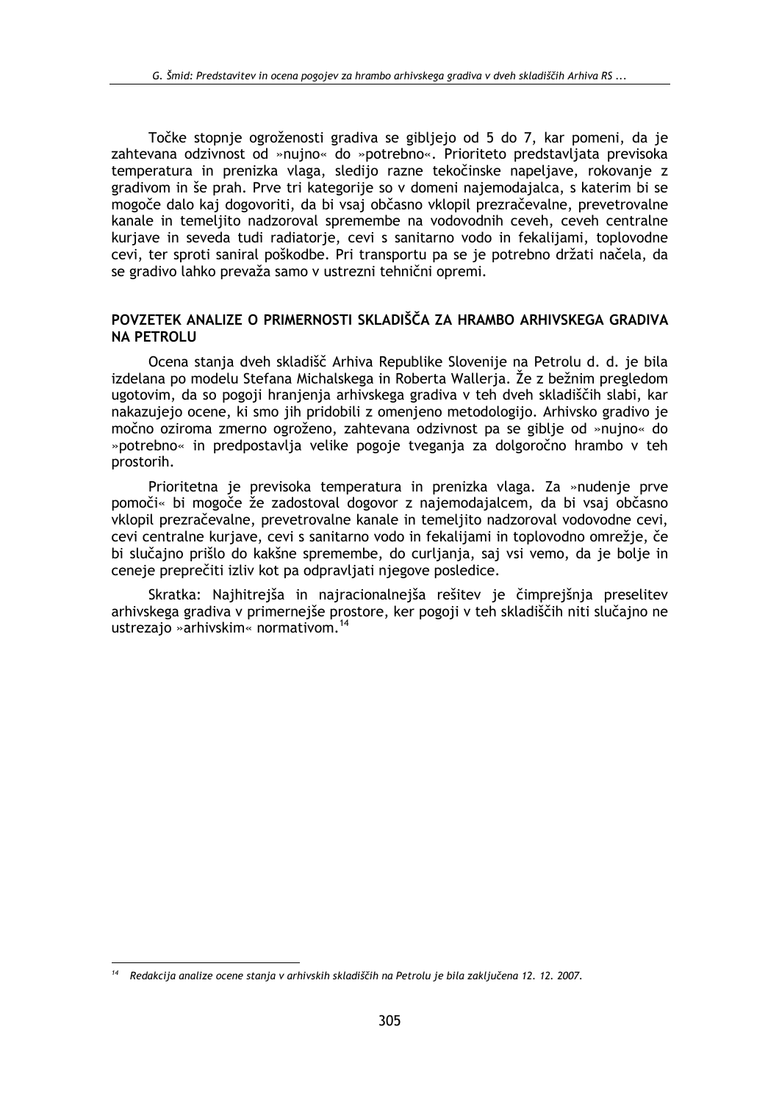Točke stopnie ogroženosti gradiva se gibliejo od 5 do 7, kar pomeni, da je zahtevana odzivnost od »nujno« do »potrebno«. Prioriteto predstavljata previsoka temperatura in prenizka vlaga, sledijo razne tekočinske napeljave, rokovanje z gradivom in še prah. Prve tri kategorije so v domeni najemodajalca, s katerim bi se mogoče dalo kaj dogovoriti, da bi vsaj občasno vklopil prezračevalne, prevetrovalne kanale in temeljito nadzoroval spremembe na vodovodnih ceveh, ceveh centralne kurjave in seveda tudi radiatorje, cevi s sanitarno vodo in fekalijami, toplovodne cevi, ter sproti saniral poškodbe. Pri transportu pa se je potrebno držati načela, da se gradivo lahko prevaža samo v ustrezni tehnični opremi.

### POVZETEK ANALIZE O PRIMERNOSTI SKLADIŠČA ZA HRAMBO ARHIVSKEGA GRADIVA **NA PETROLU**

Ocena stanja dveh skladišč Arhiva Republike Slovenije na Petrolu d. d. je bila izdelana po modelu Stefana Michalskega in Roberta Wallerja. Že z bežnim pregledom ugotovim, da so pogoji hranjenja arhivskega gradiva v teh dveh skladiščih slabi, kar nakazujejo ocene, ki smo jih pridobili z omenjeno metodologijo. Arhivsko gradivo je močno oziroma zmerno ogroženo, zahtevana odzivnost pa se giblje od »nujno« do »potrebno« in predpostavlja velike pogoje tveganja za dolgoročno hrambo v teh prostorih.

Prioritetna je previsoka temperatura in prenizka vlaga. Za »nudenje prve pomoči« bi mogoče že zadostoval dogovor z najemodajalcem, da bi vsaj občasno vklopil prezračevalne, prevetrovalne kanale in temeljito nadzoroval vodovodne cevi, cevi centralne kurjave, cevi s sanitarno vodo in fekalijami in toplovodno omrežje, če bi slučajno prišlo do kakšne spremembe, do curljanja, saj vsi vemo, da je bolje in ceneje preprečiti izliv kot pa odpravljati njegove posledice.

Skratka: Najhitrejša in najracionalnejša rešitev je čimprejšnja preselitev arhivskega gradiva v primernejše prostore, ker pogoji v teh skladiščih niti slučajno ne ustrezajo »arhivskim« normativom.<sup>14</sup>

 $14$  Redakcija analize ocene stanja v arhivskih skladiščih na Petrolu je bila zaključena 12. 12. 2007.